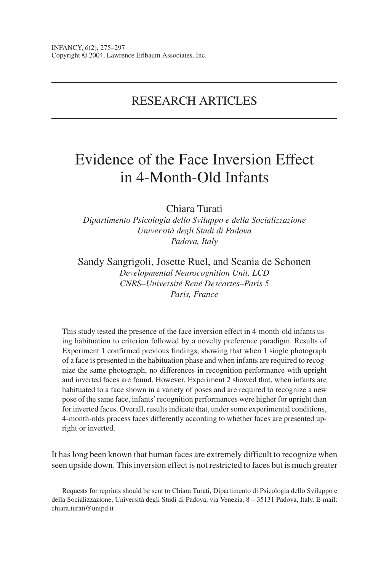# RESEARCH ARTICLES

# Evidence of the Face Inversion Effect in 4-Month-Old Infants

Chiara Turati

*Dipartimento Psicologia dello Sviluppo e della Socializzazione Università degli Studi di Padova Padova, Italy*

Sandy Sangrigoli, Josette Ruel, and Scania de Schonen *Developmental Neurocognition Unit, LCD CNRS–Université René Descartes–Paris 5 Paris, France*

This study tested the presence of the face inversion effect in 4-month-old infants using habituation to criterion followed by a novelty preference paradigm. Results of Experiment 1 confirmed previous findings, showing that when 1 single photograph of a face is presented in the habituation phase and when infants are required to recognize the same photograph, no differences in recognition performance with upright and inverted faces are found. However, Experiment 2 showed that, when infants are habituated to a face shown in a variety of poses and are required to recognize a new pose of the same face, infants'recognition performances were higher for upright than for inverted faces. Overall, results indicate that, under some experimental conditions, 4-month-olds process faces differently according to whether faces are presented upright or inverted.

It has long been known that human faces are extremely difficult to recognize when seen upside down. This inversion effect is not restricted to faces but is much greater

Requests for reprints should be sent to Chiara Turati, Dipartimento di Psicologia dello Sviluppo e della Socializzazione, Università degli Studi di Padova, via Venezia, 8 – 35131 Padova, Italy. E-mail: chiara.turati@unipd.it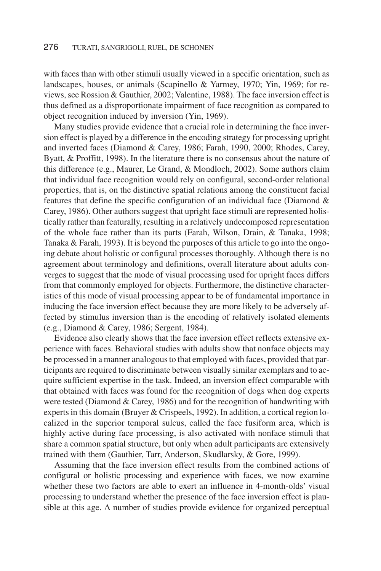with faces than with other stimuli usually viewed in a specific orientation, such as landscapes, houses, or animals (Scapinello & Yarmey, 1970; Yin, 1969; for reviews, see Rossion & Gauthier, 2002; Valentine, 1988). The face inversion effect is thus defined as a disproportionate impairment of face recognition as compared to object recognition induced by inversion (Yin, 1969).

Many studies provide evidence that a crucial role in determining the face inversion effect is played by a difference in the encoding strategy for processing upright and inverted faces (Diamond & Carey, 1986; Farah, 1990, 2000; Rhodes, Carey, Byatt, & Proffitt, 1998). In the literature there is no consensus about the nature of this difference (e.g., Maurer, Le Grand, & Mondloch, 2002). Some authors claim that individual face recognition would rely on configural, second-order relational properties, that is, on the distinctive spatial relations among the constituent facial features that define the specific configuration of an individual face (Diamond & Carey, 1986). Other authors suggest that upright face stimuli are represented holistically rather than featurally, resulting in a relatively undecomposed representation of the whole face rather than its parts (Farah, Wilson, Drain, & Tanaka, 1998; Tanaka & Farah, 1993). It is beyond the purposes of this article to go into the ongoing debate about holistic or configural processes thoroughly. Although there is no agreement about terminology and definitions, overall literature about adults converges to suggest that the mode of visual processing used for upright faces differs from that commonly employed for objects. Furthermore, the distinctive characteristics of this mode of visual processing appear to be of fundamental importance in inducing the face inversion effect because they are more likely to be adversely affected by stimulus inversion than is the encoding of relatively isolated elements (e.g., Diamond & Carey, 1986; Sergent, 1984).

Evidence also clearly shows that the face inversion effect reflects extensive experience with faces. Behavioral studies with adults show that nonface objects may be processed in a manner analogous to that employed with faces, provided that participants are required to discriminate between visually similar exemplars and to acquire sufficient expertise in the task. Indeed, an inversion effect comparable with that obtained with faces was found for the recognition of dogs when dog experts were tested (Diamond & Carey, 1986) and for the recognition of handwriting with experts in this domain (Bruyer & Crispeels, 1992). In addition, a cortical region localized in the superior temporal sulcus, called the face fusiform area, which is highly active during face processing, is also activated with nonface stimuli that share a common spatial structure, but only when adult participants are extensively trained with them (Gauthier, Tarr, Anderson, Skudlarsky, & Gore, 1999).

Assuming that the face inversion effect results from the combined actions of configural or holistic processing and experience with faces, we now examine whether these two factors are able to exert an influence in 4-month-olds' visual processing to understand whether the presence of the face inversion effect is plausible at this age. A number of studies provide evidence for organized perceptual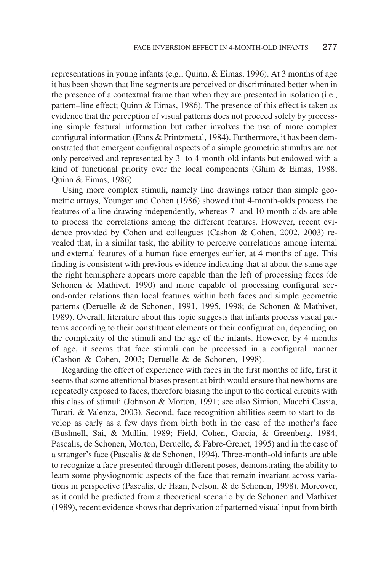representations in young infants (e.g., Quinn, & Eimas, 1996). At 3 months of age it has been shown that line segments are perceived or discriminated better when in the presence of a contextual frame than when they are presented in isolation (i.e., pattern–line effect; Quinn & Eimas, 1986). The presence of this effect is taken as evidence that the perception of visual patterns does not proceed solely by processing simple featural information but rather involves the use of more complex configural information (Enns & Printzmetal, 1984). Furthermore, it has been demonstrated that emergent configural aspects of a simple geometric stimulus are not only perceived and represented by 3- to 4-month-old infants but endowed with a kind of functional priority over the local components (Ghim & Eimas, 1988; Quinn & Eimas, 1986).

Using more complex stimuli, namely line drawings rather than simple geometric arrays, Younger and Cohen (1986) showed that 4-month-olds process the features of a line drawing independently, whereas 7- and 10-month-olds are able to process the correlations among the different features. However, recent evidence provided by Cohen and colleagues (Cashon & Cohen, 2002, 2003) revealed that, in a similar task, the ability to perceive correlations among internal and external features of a human face emerges earlier, at 4 months of age. This finding is consistent with previous evidence indicating that at about the same age the right hemisphere appears more capable than the left of processing faces (de Schonen & Mathivet, 1990) and more capable of processing configural second-order relations than local features within both faces and simple geometric patterns (Deruelle & de Schonen, 1991, 1995, 1998; de Schonen & Mathivet, 1989). Overall, literature about this topic suggests that infants process visual patterns according to their constituent elements or their configuration, depending on the complexity of the stimuli and the age of the infants. However, by 4 months of age, it seems that face stimuli can be processed in a configural manner (Cashon & Cohen, 2003; Deruelle & de Schonen, 1998).

Regarding the effect of experience with faces in the first months of life, first it seems that some attentional biases present at birth would ensure that newborns are repeatedly exposed to faces, therefore biasing the input to the cortical circuits with this class of stimuli (Johnson & Morton, 1991; see also Simion, Macchi Cassia, Turati, & Valenza, 2003). Second, face recognition abilities seem to start to develop as early as a few days from birth both in the case of the mother's face (Bushnell, Sai, & Mullin, 1989; Field, Cohen, Garcia, & Greenberg, 1984; Pascalis, de Schonen, Morton, Deruelle, & Fabre-Grenet, 1995) and in the case of a stranger's face (Pascalis & de Schonen, 1994). Three-month-old infants are able to recognize a face presented through different poses, demonstrating the ability to learn some physiognomic aspects of the face that remain invariant across variations in perspective (Pascalis, de Haan, Nelson, & de Schonen, 1998). Moreover, as it could be predicted from a theoretical scenario by de Schonen and Mathivet (1989), recent evidence shows that deprivation of patterned visual input from birth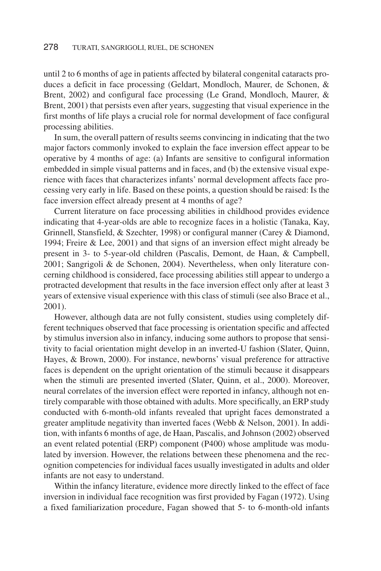until 2 to 6 months of age in patients affected by bilateral congenital cataracts produces a deficit in face processing (Geldart, Mondloch, Maurer, de Schonen, & Brent, 2002) and configural face processing (Le Grand, Mondloch, Maurer, & Brent, 2001) that persists even after years, suggesting that visual experience in the first months of life plays a crucial role for normal development of face configural processing abilities.

In sum, the overall pattern of results seems convincing in indicating that the two major factors commonly invoked to explain the face inversion effect appear to be operative by 4 months of age: (a) Infants are sensitive to configural information embedded in simple visual patterns and in faces, and (b) the extensive visual experience with faces that characterizes infants' normal development affects face processing very early in life. Based on these points, a question should be raised: Is the face inversion effect already present at 4 months of age?

Current literature on face processing abilities in childhood provides evidence indicating that 4-year-olds are able to recognize faces in a holistic (Tanaka, Kay, Grinnell, Stansfield, & Szechter, 1998) or configural manner (Carey & Diamond, 1994; Freire & Lee, 2001) and that signs of an inversion effect might already be present in 3- to 5-year-old children (Pascalis, Demont, de Haan, & Campbell, 2001; Sangrigoli & de Schonen, 2004). Nevertheless, when only literature concerning childhood is considered, face processing abilities still appear to undergo a protracted development that results in the face inversion effect only after at least 3 years of extensive visual experience with this class of stimuli (see also Brace et al., 2001).

However, although data are not fully consistent, studies using completely different techniques observed that face processing is orientation specific and affected by stimulus inversion also in infancy, inducing some authors to propose that sensitivity to facial orientation might develop in an inverted-U fashion (Slater, Quinn, Hayes, & Brown, 2000). For instance, newborns' visual preference for attractive faces is dependent on the upright orientation of the stimuli because it disappears when the stimuli are presented inverted (Slater, Quinn, et al., 2000). Moreover, neural correlates of the inversion effect were reported in infancy, although not entirely comparable with those obtained with adults. More specifically, an ERP study conducted with 6-month-old infants revealed that upright faces demonstrated a greater amplitude negativity than inverted faces (Webb & Nelson, 2001). In addition, with infants 6 months of age, de Haan, Pascalis, and Johnson (2002) observed an event related potential (ERP) component (P400) whose amplitude was modulated by inversion. However, the relations between these phenomena and the recognition competencies for individual faces usually investigated in adults and older infants are not easy to understand.

Within the infancy literature, evidence more directly linked to the effect of face inversion in individual face recognition was first provided by Fagan (1972). Using a fixed familiarization procedure, Fagan showed that 5- to 6-month-old infants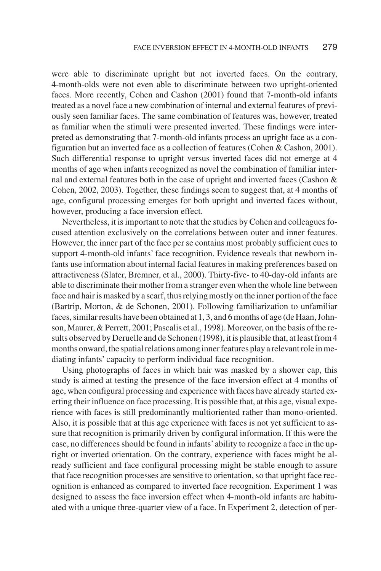were able to discriminate upright but not inverted faces. On the contrary, 4-month-olds were not even able to discriminate between two upright-oriented faces. More recently, Cohen and Cashon (2001) found that 7-month-old infants treated as a novel face a new combination of internal and external features of previously seen familiar faces. The same combination of features was, however, treated as familiar when the stimuli were presented inverted. These findings were interpreted as demonstrating that 7-month-old infants process an upright face as a configuration but an inverted face as a collection of features (Cohen & Cashon, 2001). Such differential response to upright versus inverted faces did not emerge at 4 months of age when infants recognized as novel the combination of familiar internal and external features both in the case of upright and inverted faces (Cashon & Cohen, 2002, 2003). Together, these findings seem to suggest that, at 4 months of age, configural processing emerges for both upright and inverted faces without, however, producing a face inversion effect.

Nevertheless, it is important to note that the studies by Cohen and colleagues focused attention exclusively on the correlations between outer and inner features. However, the inner part of the face per se contains most probably sufficient cues to support 4-month-old infants' face recognition. Evidence reveals that newborn infants use information about internal facial features in making preferences based on attractiveness (Slater, Bremner, et al., 2000). Thirty-five- to 40-day-old infants are able to discriminate their mother from a stranger even when the whole line between face and hair is masked by a scarf, thus relying mostly on the inner portion of the face (Bartrip, Morton, & de Schonen, 2001). Following familiarization to unfamiliar faces, similar results have been obtained at 1, 3, and 6 months of age (de Haan, Johnson, Maurer, & Perrett, 2001; Pascalis et al., 1998). Moreover, on the basis of the results observed by Deruelle and de Schonen (1998), it is plausible that, at least from 4 months onward, the spatial relations among inner features play a relevant role in mediating infants' capacity to perform individual face recognition.

Using photographs of faces in which hair was masked by a shower cap, this study is aimed at testing the presence of the face inversion effect at 4 months of age, when configural processing and experience with faces have already started exerting their influence on face processing. It is possible that, at this age, visual experience with faces is still predominantly multioriented rather than mono-oriented. Also, it is possible that at this age experience with faces is not yet sufficient to assure that recognition is primarily driven by configural information. If this were the case, no differences should be found in infants'ability to recognize a face in the upright or inverted orientation. On the contrary, experience with faces might be already sufficient and face configural processing might be stable enough to assure that face recognition processes are sensitive to orientation, so that upright face recognition is enhanced as compared to inverted face recognition. Experiment 1 was designed to assess the face inversion effect when 4-month-old infants are habituated with a unique three-quarter view of a face. In Experiment 2, detection of per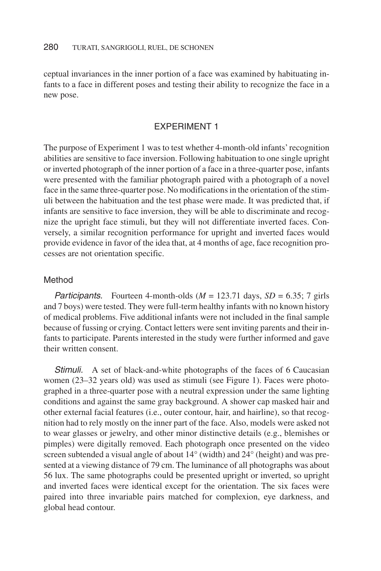ceptual invariances in the inner portion of a face was examined by habituating infants to a face in different poses and testing their ability to recognize the face in a new pose.

# EXPERIMENT 1

The purpose of Experiment 1 was to test whether 4-month-old infants' recognition abilities are sensitive to face inversion. Following habituation to one single upright or inverted photograph of the inner portion of a face in a three-quarter pose, infants were presented with the familiar photograph paired with a photograph of a novel face in the same three-quarter pose. No modifications in the orientation of the stimuli between the habituation and the test phase were made. It was predicted that, if infants are sensitive to face inversion, they will be able to discriminate and recognize the upright face stimuli, but they will not differentiate inverted faces. Conversely, a similar recognition performance for upright and inverted faces would provide evidence in favor of the idea that, at 4 months of age, face recognition processes are not orientation specific.

# Method

**Participants.** Fourteen 4-month-olds  $(M = 123.71 \text{ days}, SD = 6.35; 7 \text{ girls}$ and 7 boys) were tested. They were full-term healthy infants with no known history of medical problems. Five additional infants were not included in the final sample because of fussing or crying. Contact letters were sent inviting parents and their infants to participate. Parents interested in the study were further informed and gave their written consent.

Stimuli. A set of black-and-white photographs of the faces of 6 Caucasian women (23–32 years old) was used as stimuli (see Figure 1). Faces were photographed in a three-quarter pose with a neutral expression under the same lighting conditions and against the same gray background. A shower cap masked hair and other external facial features (i.e., outer contour, hair, and hairline), so that recognition had to rely mostly on the inner part of the face. Also, models were asked not to wear glasses or jewelry, and other minor distinctive details (e.g., blemishes or pimples) were digitally removed. Each photograph once presented on the video screen subtended a visual angle of about 14° (width) and 24° (height) and was presented at a viewing distance of 79 cm. The luminance of all photographs was about 56 lux. The same photographs could be presented upright or inverted, so upright and inverted faces were identical except for the orientation. The six faces were paired into three invariable pairs matched for complexion, eye darkness, and global head contour.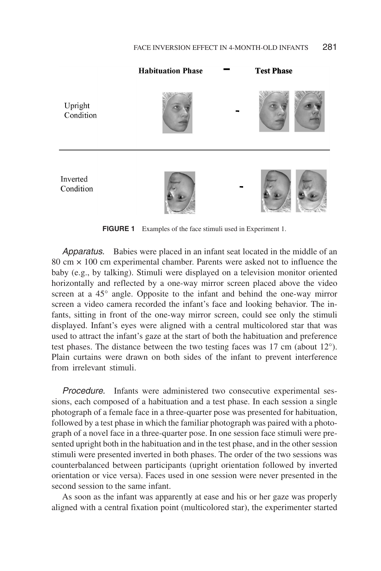

**FIGURE 1** Examples of the face stimuli used in Experiment 1.

Apparatus. Babies were placed in an infant seat located in the middle of an 80 cm × 100 cm experimental chamber. Parents were asked not to influence the baby (e.g., by talking). Stimuli were displayed on a television monitor oriented horizontally and reflected by a one-way mirror screen placed above the video screen at a 45° angle. Opposite to the infant and behind the one-way mirror screen a video camera recorded the infant's face and looking behavior. The infants, sitting in front of the one-way mirror screen, could see only the stimuli displayed. Infant's eyes were aligned with a central multicolored star that was used to attract the infant's gaze at the start of both the habituation and preference test phases. The distance between the two testing faces was  $17 \text{ cm}$  (about  $12^{\circ}$ ). Plain curtains were drawn on both sides of the infant to prevent interference from irrelevant stimuli.

Procedure. Infants were administered two consecutive experimental sessions, each composed of a habituation and a test phase. In each session a single photograph of a female face in a three-quarter pose was presented for habituation, followed by a test phase in which the familiar photograph was paired with a photograph of a novel face in a three-quarter pose. In one session face stimuli were presented upright both in the habituation and in the test phase, and in the other session stimuli were presented inverted in both phases. The order of the two sessions was counterbalanced between participants (upright orientation followed by inverted orientation or vice versa). Faces used in one session were never presented in the second session to the same infant.

As soon as the infant was apparently at ease and his or her gaze was properly aligned with a central fixation point (multicolored star), the experimenter started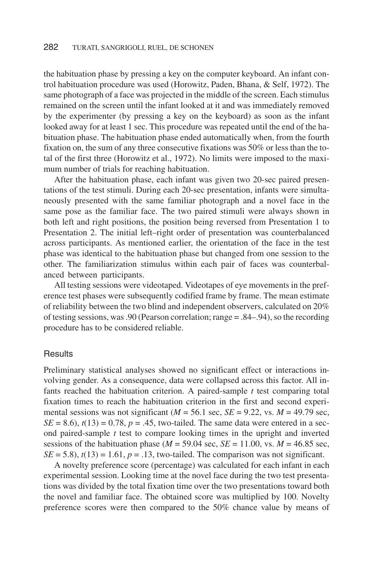the habituation phase by pressing a key on the computer keyboard. An infant control habituation procedure was used (Horowitz, Paden, Bhana, & Self, 1972). The same photograph of a face was projected in the middle of the screen. Each stimulus remained on the screen until the infant looked at it and was immediately removed by the experimenter (by pressing a key on the keyboard) as soon as the infant looked away for at least 1 sec. This procedure was repeated until the end of the habituation phase. The habituation phase ended automatically when, from the fourth fixation on, the sum of any three consecutive fixations was 50% or less than the total of the first three (Horowitz et al., 1972). No limits were imposed to the maximum number of trials for reaching habituation.

After the habituation phase, each infant was given two 20-sec paired presentations of the test stimuli. During each 20-sec presentation, infants were simultaneously presented with the same familiar photograph and a novel face in the same pose as the familiar face. The two paired stimuli were always shown in both left and right positions, the position being reversed from Presentation 1 to Presentation 2. The initial left–right order of presentation was counterbalanced across participants. As mentioned earlier, the orientation of the face in the test phase was identical to the habituation phase but changed from one session to the other. The familiarization stimulus within each pair of faces was counterbalanced between participants.

All testing sessions were videotaped. Videotapes of eye movements in the preference test phases were subsequently codified frame by frame. The mean estimate of reliability between the two blind and independent observers, calculated on 20% of testing sessions, was .90 (Pearson correlation; range = .84–.94), so the recording procedure has to be considered reliable.

# **Results**

Preliminary statistical analyses showed no significant effect or interactions involving gender. As a consequence, data were collapsed across this factor. All infants reached the habituation criterion. A paired-sample *t* test comparing total fixation times to reach the habituation criterion in the first and second experimental sessions was not significant ( $M = 56.1$  sec,  $SE = 9.22$ , vs.  $M = 49.79$  sec,  $SE = 8.6$ ,  $t(13) = 0.78$ ,  $p = .45$ , two-tailed. The same data were entered in a second paired-sample *t* test to compare looking times in the upright and inverted sessions of the habituation phase ( $M = 59.04$  sec,  $SE = 11.00$ , vs.  $M = 46.85$  sec,  $SE = 5.8$ ,  $t(13) = 1.61$ ,  $p = .13$ , two-tailed. The comparison was not significant.

A novelty preference score (percentage) was calculated for each infant in each experimental session. Looking time at the novel face during the two test presentations was divided by the total fixation time over the two presentations toward both the novel and familiar face. The obtained score was multiplied by 100. Novelty preference scores were then compared to the 50% chance value by means of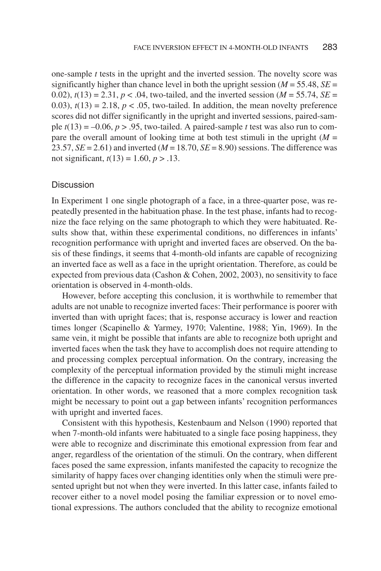one-sample *t* tests in the upright and the inverted session. The novelty score was significantly higher than chance level in both the upright session ( $M = 55.48$ ,  $SE =$ 0.02),  $t(13) = 2.31$ ,  $p < .04$ , two-tailed, and the inverted session ( $M = 55.74$ ,  $SE =$ 0.03),  $t(13) = 2.18$ ,  $p < .05$ , two-tailed. In addition, the mean novelty preference scores did not differ significantly in the upright and inverted sessions, paired-sample  $t(13) = -0.06$ ,  $p > 0.95$ , two-tailed. A paired-sample *t* test was also run to compare the overall amount of looking time at both test stimuli in the upright  $(M =$ 23.57,  $SE = 2.61$  and inverted ( $M = 18.70$ ,  $SE = 8.90$ ) sessions. The difference was not significant,  $t(13) = 1.60, p > .13$ .

#### Discussion

In Experiment 1 one single photograph of a face, in a three-quarter pose, was repeatedly presented in the habituation phase. In the test phase, infants had to recognize the face relying on the same photograph to which they were habituated. Results show that, within these experimental conditions, no differences in infants' recognition performance with upright and inverted faces are observed. On the basis of these findings, it seems that 4-month-old infants are capable of recognizing an inverted face as well as a face in the upright orientation. Therefore, as could be expected from previous data (Cashon & Cohen, 2002, 2003), no sensitivity to face orientation is observed in 4-month-olds.

However, before accepting this conclusion, it is worthwhile to remember that adults are not unable to recognize inverted faces: Their performance is poorer with inverted than with upright faces; that is, response accuracy is lower and reaction times longer (Scapinello & Yarmey, 1970; Valentine, 1988; Yin, 1969). In the same vein, it might be possible that infants are able to recognize both upright and inverted faces when the task they have to accomplish does not require attending to and processing complex perceptual information. On the contrary, increasing the complexity of the perceptual information provided by the stimuli might increase the difference in the capacity to recognize faces in the canonical versus inverted orientation. In other words, we reasoned that a more complex recognition task might be necessary to point out a gap between infants' recognition performances with upright and inverted faces.

Consistent with this hypothesis, Kestenbaum and Nelson (1990) reported that when 7-month-old infants were habituated to a single face posing happiness, they were able to recognize and discriminate this emotional expression from fear and anger, regardless of the orientation of the stimuli. On the contrary, when different faces posed the same expression, infants manifested the capacity to recognize the similarity of happy faces over changing identities only when the stimuli were presented upright but not when they were inverted. In this latter case, infants failed to recover either to a novel model posing the familiar expression or to novel emotional expressions. The authors concluded that the ability to recognize emotional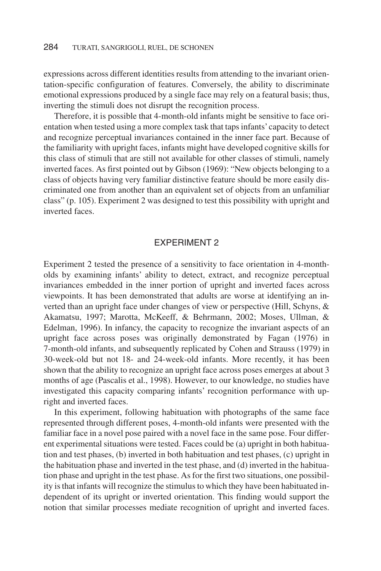expressions across different identities results from attending to the invariant orientation-specific configuration of features. Conversely, the ability to discriminate emotional expressions produced by a single face may rely on a featural basis; thus, inverting the stimuli does not disrupt the recognition process.

Therefore, it is possible that 4-month-old infants might be sensitive to face orientation when tested using a more complex task that taps infants'capacity to detect and recognize perceptual invariances contained in the inner face part. Because of the familiarity with upright faces, infants might have developed cognitive skills for this class of stimuli that are still not available for other classes of stimuli, namely inverted faces. As first pointed out by Gibson (1969): "New objects belonging to a class of objects having very familiar distinctive feature should be more easily discriminated one from another than an equivalent set of objects from an unfamiliar class" (p. 105). Experiment 2 was designed to test this possibility with upright and inverted faces.

# EXPERIMENT 2

Experiment 2 tested the presence of a sensitivity to face orientation in 4-montholds by examining infants' ability to detect, extract, and recognize perceptual invariances embedded in the inner portion of upright and inverted faces across viewpoints. It has been demonstrated that adults are worse at identifying an inverted than an upright face under changes of view or perspective (Hill, Schyns, & Akamatsu, 1997; Marotta, McKeeff, & Behrmann, 2002; Moses, Ullman, & Edelman, 1996). In infancy, the capacity to recognize the invariant aspects of an upright face across poses was originally demonstrated by Fagan (1976) in 7-month-old infants, and subsequently replicated by Cohen and Strauss (1979) in 30-week-old but not 18- and 24-week-old infants. More recently, it has been shown that the ability to recognize an upright face across poses emerges at about 3 months of age (Pascalis et al., 1998). However, to our knowledge, no studies have investigated this capacity comparing infants' recognition performance with upright and inverted faces.

In this experiment, following habituation with photographs of the same face represented through different poses, 4-month-old infants were presented with the familiar face in a novel pose paired with a novel face in the same pose. Four different experimental situations were tested. Faces could be (a) upright in both habituation and test phases, (b) inverted in both habituation and test phases, (c) upright in the habituation phase and inverted in the test phase, and (d) inverted in the habituation phase and upright in the test phase. As for the first two situations, one possibility is that infants will recognize the stimulus to which they have been habituated independent of its upright or inverted orientation. This finding would support the notion that similar processes mediate recognition of upright and inverted faces.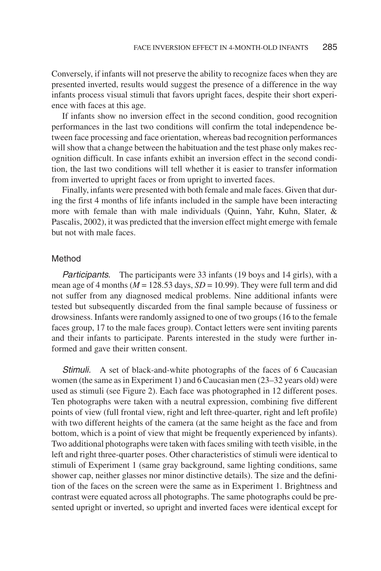Conversely, if infants will not preserve the ability to recognize faces when they are presented inverted, results would suggest the presence of a difference in the way infants process visual stimuli that favors upright faces, despite their short experience with faces at this age.

If infants show no inversion effect in the second condition, good recognition performances in the last two conditions will confirm the total independence between face processing and face orientation, whereas bad recognition performances will show that a change between the habituation and the test phase only makes recognition difficult. In case infants exhibit an inversion effect in the second condition, the last two conditions will tell whether it is easier to transfer information from inverted to upright faces or from upright to inverted faces.

Finally, infants were presented with both female and male faces. Given that during the first 4 months of life infants included in the sample have been interacting more with female than with male individuals (Quinn, Yahr, Kuhn, Slater, & Pascalis, 2002), it was predicted that the inversion effect might emerge with female but not with male faces.

#### Method

Participants. The participants were 33 infants (19 boys and 14 girls), with a mean age of 4 months ( $M = 128.53$  days,  $SD = 10.99$ ). They were full term and did not suffer from any diagnosed medical problems. Nine additional infants were tested but subsequently discarded from the final sample because of fussiness or drowsiness. Infants were randomly assigned to one of two groups (16 to the female faces group, 17 to the male faces group). Contact letters were sent inviting parents and their infants to participate. Parents interested in the study were further informed and gave their written consent.

Stimuli. A set of black-and-white photographs of the faces of 6 Caucasian women (the same as in Experiment 1) and 6 Caucasian men (23–32 years old) were used as stimuli (see Figure 2). Each face was photographed in 12 different poses. Ten photographs were taken with a neutral expression, combining five different points of view (full frontal view, right and left three-quarter, right and left profile) with two different heights of the camera (at the same height as the face and from bottom, which is a point of view that might be frequently experienced by infants). Two additional photographs were taken with faces smiling with teeth visible, in the left and right three-quarter poses. Other characteristics of stimuli were identical to stimuli of Experiment 1 (same gray background, same lighting conditions, same shower cap, neither glasses nor minor distinctive details). The size and the definition of the faces on the screen were the same as in Experiment 1. Brightness and contrast were equated across all photographs. The same photographs could be presented upright or inverted, so upright and inverted faces were identical except for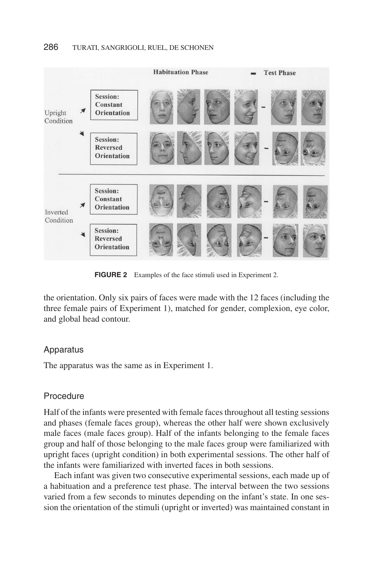

**FIGURE 2** Examples of the face stimuli used in Experiment 2.

the orientation. Only six pairs of faces were made with the 12 faces (including the three female pairs of Experiment 1), matched for gender, complexion, eye color, and global head contour.

# Apparatus

The apparatus was the same as in Experiment 1.

# **Procedure**

Half of the infants were presented with female faces throughout all testing sessions and phases (female faces group), whereas the other half were shown exclusively male faces (male faces group). Half of the infants belonging to the female faces group and half of those belonging to the male faces group were familiarized with upright faces (upright condition) in both experimental sessions. The other half of the infants were familiarized with inverted faces in both sessions.

Each infant was given two consecutive experimental sessions, each made up of a habituation and a preference test phase. The interval between the two sessions varied from a few seconds to minutes depending on the infant's state. In one session the orientation of the stimuli (upright or inverted) was maintained constant in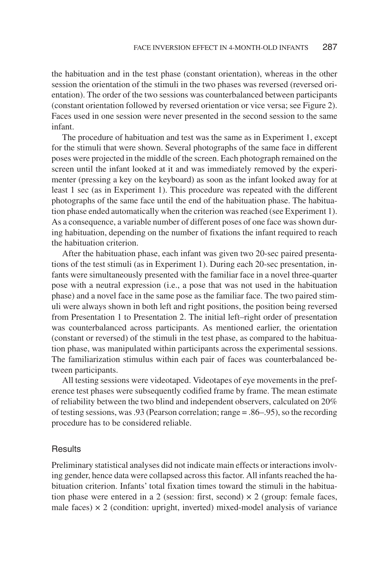the habituation and in the test phase (constant orientation), whereas in the other session the orientation of the stimuli in the two phases was reversed (reversed orientation). The order of the two sessions was counterbalanced between participants (constant orientation followed by reversed orientation or vice versa; see Figure 2). Faces used in one session were never presented in the second session to the same infant.

The procedure of habituation and test was the same as in Experiment 1, except for the stimuli that were shown. Several photographs of the same face in different poses were projected in the middle of the screen. Each photograph remained on the screen until the infant looked at it and was immediately removed by the experimenter (pressing a key on the keyboard) as soon as the infant looked away for at least 1 sec (as in Experiment 1). This procedure was repeated with the different photographs of the same face until the end of the habituation phase. The habituation phase ended automatically when the criterion was reached (see Experiment 1). As a consequence, a variable number of different poses of one face was shown during habituation, depending on the number of fixations the infant required to reach the habituation criterion.

After the habituation phase, each infant was given two 20-sec paired presentations of the test stimuli (as in Experiment 1). During each 20-sec presentation, infants were simultaneously presented with the familiar face in a novel three-quarter pose with a neutral expression (i.e., a pose that was not used in the habituation phase) and a novel face in the same pose as the familiar face. The two paired stimuli were always shown in both left and right positions, the position being reversed from Presentation 1 to Presentation 2. The initial left–right order of presentation was counterbalanced across participants. As mentioned earlier, the orientation (constant or reversed) of the stimuli in the test phase, as compared to the habituation phase, was manipulated within participants across the experimental sessions. The familiarization stimulus within each pair of faces was counterbalanced between participants.

All testing sessions were videotaped. Videotapes of eye movements in the preference test phases were subsequently codified frame by frame. The mean estimate of reliability between the two blind and independent observers, calculated on 20% of testing sessions, was .93 (Pearson correlation; range = .86–.95), so the recording procedure has to be considered reliable.

# **Results**

Preliminary statistical analyses did not indicate main effects or interactions involving gender, hence data were collapsed across this factor. All infants reached the habituation criterion. Infants' total fixation times toward the stimuli in the habituation phase were entered in a 2 (session: first, second)  $\times$  2 (group: female faces, male faces)  $\times$  2 (condition: upright, inverted) mixed-model analysis of variance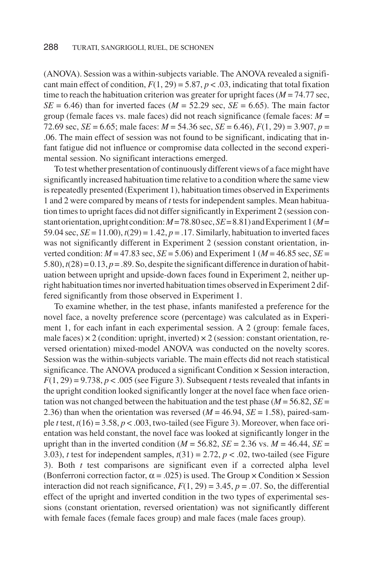(ANOVA). Session was a within-subjects variable. The ANOVA revealed a significant main effect of condition,  $F(1, 29) = 5.87$ ,  $p < .03$ , indicating that total fixation time to reach the habituation criterion was greater for upright faces  $(M = 74.77 \text{ sec}$ ,  $SE = 6.46$ ) than for inverted faces ( $M = 52.29$  sec,  $SE = 6.65$ ). The main factor group (female faces vs. male faces) did not reach significance (female faces: *M* = 72.69 sec, *SE* = 6.65; male faces: *M* = 54.36 sec, *SE* = 6.46), *F*(1, 29) = 3.907, *p* = .06. The main effect of session was not found to be significant, indicating that infant fatigue did not influence or compromise data collected in the second experimental session. No significant interactions emerged.

To test whether presentation of continuously different views of a face might have significantly increased habituation time relative to a condition where the same view is repeatedly presented (Experiment 1), habituation times observed in Experiments 1 and 2 were compared by means of *t* tests for independent samples. Mean habituation times to upright faces did not differ significantly in Experiment 2 (session constant orientation, upright condition:  $M=78.80$  sec,  $SE=8.81$ ) and Experiment 1( $M=$ 59.04 sec,  $SE = 11.00$ ),  $t(29) = 1.42$ ,  $p = .17$ . Similarly, habituation to inverted faces was not significantly different in Experiment 2 (session constant orientation, inverted condition:  $M = 47.83$  sec,  $SE = 5.06$ ) and Experiment 1 ( $M = 46.85$  sec,  $SE =$ 5.80),  $t(28) = 0.13$ ,  $p = .89$ . So, despite the significant difference in duration of habituation between upright and upside-down faces found in Experiment 2, neither upright habituation times nor inverted habituation times observed in Experiment 2 differed significantly from those observed in Experiment 1.

To examine whether, in the test phase, infants manifested a preference for the novel face, a novelty preference score (percentage) was calculated as in Experiment 1, for each infant in each experimental session. A 2 (group: female faces, male faces)  $\times$  2 (condition: upright, inverted)  $\times$  2 (session: constant orientation, reversed orientation) mixed-model ANOVA was conducted on the novelty scores. Session was the within-subjects variable. The main effects did not reach statistical significance. The ANOVA produced a significant Condition × Session interaction,  $F(1, 29) = 9.738$ ,  $p < .005$  (see Figure 3). Subsequent *t* tests revealed that infants in the upright condition looked significantly longer at the novel face when face orientation was not changed between the habituation and the test phase ( $M = 56.82$ ,  $SE =$ 2.36) than when the orientation was reversed  $(M = 46.94, SE = 1.58)$ , paired-sample *t* test,  $t(16) = 3.58$ ,  $p < .003$ , two-tailed (see Figure 3). Moreover, when face orientation was held constant, the novel face was looked at significantly longer in the upright than in the inverted condition ( $M = 56.82$ ,  $SE = 2.36$  vs.  $M = 46.44$ ,  $SE =$ 3.03), *t* test for independent samples,  $t(31) = 2.72$ ,  $p < .02$ , two-tailed (see Figure 3). Both *t* test comparisons are significant even if a corrected alpha level (Bonferroni correction factor,  $\alpha = .025$ ) is used. The Group  $\times$  Condition  $\times$  Session interaction did not reach significance,  $F(1, 29) = 3.45$ ,  $p = .07$ . So, the differential effect of the upright and inverted condition in the two types of experimental sessions (constant orientation, reversed orientation) was not significantly different with female faces (female faces group) and male faces (male faces group).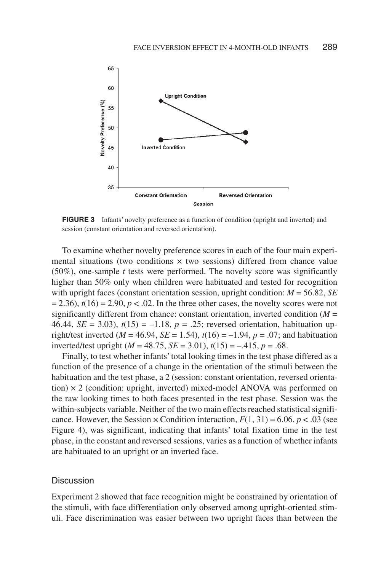

**FIGURE 3** Infants' novelty preference as a function of condition (upright and inverted) and session (constant orientation and reversed orientation).

To examine whether novelty preference scores in each of the four main experimental situations (two conditions  $\times$  two sessions) differed from chance value (50%), one-sample *t* tests were performed. The novelty score was significantly higher than 50% only when children were habituated and tested for recognition with upright faces (constant orientation session, upright condition: *M* = 56.82, *SE*  $= 2.36$ ,  $t(16) = 2.90$ ,  $p < .02$ . In the three other cases, the novelty scores were not significantly different from chance: constant orientation, inverted condition  $(M =$ 46.44, *SE* = 3.03),  $t(15) = -1.18$ ,  $p = .25$ ; reversed orientation, habituation upright/test inverted ( $M = 46.94$ ,  $SE = 1.54$ ),  $t(16) = -1.94$ ,  $p = .07$ ; and habituation inverted/test upright  $(M = 48.75, SE = 3.01), t(15) = -.415, p = .68.$ 

Finally, to test whether infants' total looking times in the test phase differed as a function of the presence of a change in the orientation of the stimuli between the habituation and the test phase, a 2 (session: constant orientation, reversed orientation)  $\times$  2 (condition: upright, inverted) mixed-model ANOVA was performed on the raw looking times to both faces presented in the test phase. Session was the within-subjects variable. Neither of the two main effects reached statistical significance. However, the Session  $\times$  Condition interaction,  $F(1, 31) = 6.06$ ,  $p < .03$  (see Figure 4), was significant, indicating that infants' total fixation time in the test phase, in the constant and reversed sessions, varies as a function of whether infants are habituated to an upright or an inverted face.

# **Discussion**

Experiment 2 showed that face recognition might be constrained by orientation of the stimuli, with face differentiation only observed among upright-oriented stimuli. Face discrimination was easier between two upright faces than between the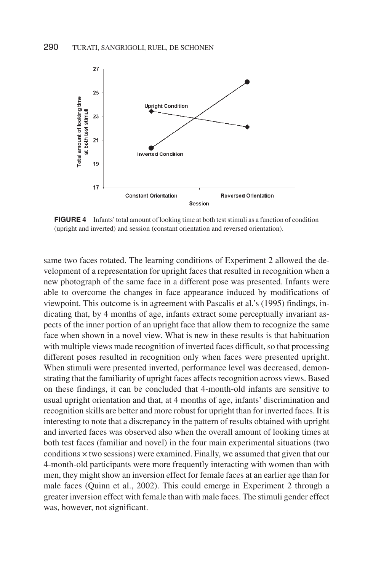

**FIGURE 4** Infants' total amount of looking time at both test stimuli as a function of condition (upright and inverted) and session (constant orientation and reversed orientation).

same two faces rotated. The learning conditions of Experiment 2 allowed the development of a representation for upright faces that resulted in recognition when a new photograph of the same face in a different pose was presented. Infants were able to overcome the changes in face appearance induced by modifications of viewpoint. This outcome is in agreement with Pascalis et al.'s (1995) findings, indicating that, by 4 months of age, infants extract some perceptually invariant aspects of the inner portion of an upright face that allow them to recognize the same face when shown in a novel view. What is new in these results is that habituation with multiple views made recognition of inverted faces difficult, so that processing different poses resulted in recognition only when faces were presented upright. When stimuli were presented inverted, performance level was decreased, demonstrating that the familiarity of upright faces affects recognition across views. Based on these findings, it can be concluded that 4-month-old infants are sensitive to usual upright orientation and that, at 4 months of age, infants' discrimination and recognition skills are better and more robust for upright than for inverted faces. It is interesting to note that a discrepancy in the pattern of results obtained with upright and inverted faces was observed also when the overall amount of looking times at both test faces (familiar and novel) in the four main experimental situations (two conditions × two sessions) were examined. Finally, we assumed that given that our 4-month-old participants were more frequently interacting with women than with men, they might show an inversion effect for female faces at an earlier age than for male faces (Quinn et al., 2002). This could emerge in Experiment 2 through a greater inversion effect with female than with male faces. The stimuli gender effect was, however, not significant.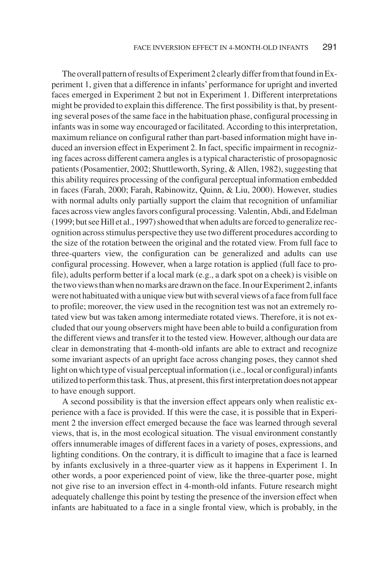The overall pattern of results of Experiment 2 clearly differ from that found in Experiment 1, given that a difference in infants' performance for upright and inverted faces emerged in Experiment 2 but not in Experiment 1. Different interpretations might be provided to explain this difference. The first possibility is that, by presenting several poses of the same face in the habituation phase, configural processing in infants was in some way encouraged or facilitated. According to this interpretation, maximum reliance on configural rather than part-based information might have induced an inversion effect in Experiment 2. In fact, specific impairment in recognizing faces across different camera angles is a typical characteristic of prosopagnosic patients (Posamentier, 2002; Shuttleworth, Syring, & Allen, 1982), suggesting that this ability requires processing of the configural perceptual information embedded in faces (Farah, 2000; Farah, Rabinowitz, Quinn, & Liu, 2000). However, studies with normal adults only partially support the claim that recognition of unfamiliar faces across view angles favors configural processing. Valentin, Abdi, and Edelman (1999; but see Hill et al., 1997) showed that when adults are forced to generalize recognition across stimulus perspective they use two different procedures according to the size of the rotation between the original and the rotated view. From full face to three-quarters view, the configuration can be generalized and adults can use configural processing. However, when a large rotation is applied (full face to profile), adults perform better if a local mark (e.g., a dark spot on a cheek) is visible on thetwoviewsthanwhennomarksaredrawnontheface.InourExperiment2,infants were not habituated with a unique view but with several views of a face from full face to profile; moreover, the view used in the recognition test was not an extremely rotated view but was taken among intermediate rotated views. Therefore, it is not excluded that our young observers might have been able to build a configuration from the different views and transfer it to the tested view. However, although our data are clear in demonstrating that 4-month-old infants are able to extract and recognize some invariant aspects of an upright face across changing poses, they cannot shed light on which type of visual perceptual information (i.e., local or configural) infants utilized to perform this task. Thus, at present, this first interpretation does not appear to have enough support.

A second possibility is that the inversion effect appears only when realistic experience with a face is provided. If this were the case, it is possible that in Experiment 2 the inversion effect emerged because the face was learned through several views, that is, in the most ecological situation. The visual environment constantly offers innumerable images of different faces in a variety of poses, expressions, and lighting conditions. On the contrary, it is difficult to imagine that a face is learned by infants exclusively in a three-quarter view as it happens in Experiment 1. In other words, a poor experienced point of view, like the three-quarter pose, might not give rise to an inversion effect in 4-month-old infants. Future research might adequately challenge this point by testing the presence of the inversion effect when infants are habituated to a face in a single frontal view, which is probably, in the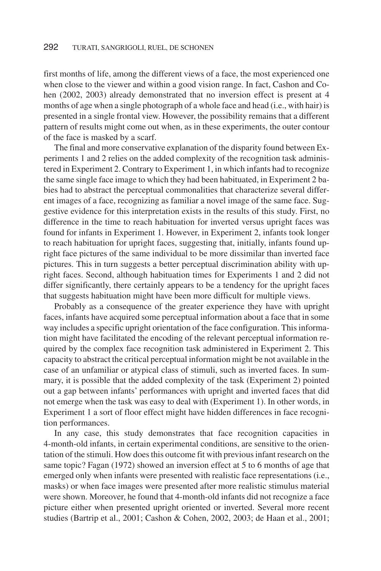first months of life, among the different views of a face, the most experienced one when close to the viewer and within a good vision range. In fact, Cashon and Cohen (2002, 2003) already demonstrated that no inversion effect is present at 4 months of age when a single photograph of a whole face and head (i.e., with hair) is presented in a single frontal view. However, the possibility remains that a different pattern of results might come out when, as in these experiments, the outer contour of the face is masked by a scarf.

The final and more conservative explanation of the disparity found between Experiments 1 and 2 relies on the added complexity of the recognition task administered in Experiment 2. Contrary to Experiment 1, in which infants had to recognize the same single face image to which they had been habituated, in Experiment 2 babies had to abstract the perceptual commonalities that characterize several different images of a face, recognizing as familiar a novel image of the same face. Suggestive evidence for this interpretation exists in the results of this study. First, no difference in the time to reach habituation for inverted versus upright faces was found for infants in Experiment 1. However, in Experiment 2, infants took longer to reach habituation for upright faces, suggesting that, initially, infants found upright face pictures of the same individual to be more dissimilar than inverted face pictures. This in turn suggests a better perceptual discrimination ability with upright faces. Second, although habituation times for Experiments 1 and 2 did not differ significantly, there certainly appears to be a tendency for the upright faces that suggests habituation might have been more difficult for multiple views.

Probably as a consequence of the greater experience they have with upright faces, infants have acquired some perceptual information about a face that in some way includes a specific upright orientation of the face configuration. This information might have facilitated the encoding of the relevant perceptual information required by the complex face recognition task administered in Experiment 2. This capacity to abstract the critical perceptual information might be not available in the case of an unfamiliar or atypical class of stimuli, such as inverted faces. In summary, it is possible that the added complexity of the task (Experiment 2) pointed out a gap between infants' performances with upright and inverted faces that did not emerge when the task was easy to deal with (Experiment 1). In other words, in Experiment 1 a sort of floor effect might have hidden differences in face recognition performances.

In any case, this study demonstrates that face recognition capacities in 4-month-old infants, in certain experimental conditions, are sensitive to the orientation of the stimuli. How does this outcome fit with previous infant research on the same topic? Fagan (1972) showed an inversion effect at 5 to 6 months of age that emerged only when infants were presented with realistic face representations (i.e., masks) or when face images were presented after more realistic stimulus material were shown. Moreover, he found that 4-month-old infants did not recognize a face picture either when presented upright oriented or inverted. Several more recent studies (Bartrip et al., 2001; Cashon & Cohen, 2002, 2003; de Haan et al., 2001;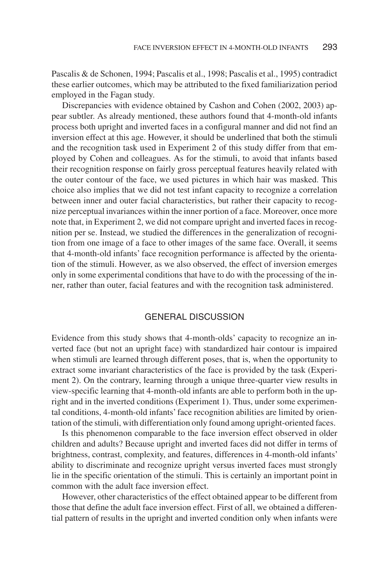Pascalis & de Schonen, 1994; Pascalis et al., 1998; Pascalis et al., 1995) contradict these earlier outcomes, which may be attributed to the fixed familiarization period employed in the Fagan study.

Discrepancies with evidence obtained by Cashon and Cohen (2002, 2003) appear subtler. As already mentioned, these authors found that 4-month-old infants process both upright and inverted faces in a configural manner and did not find an inversion effect at this age. However, it should be underlined that both the stimuli and the recognition task used in Experiment 2 of this study differ from that employed by Cohen and colleagues. As for the stimuli, to avoid that infants based their recognition response on fairly gross perceptual features heavily related with the outer contour of the face, we used pictures in which hair was masked. This choice also implies that we did not test infant capacity to recognize a correlation between inner and outer facial characteristics, but rather their capacity to recognize perceptual invariances within the inner portion of a face. Moreover, once more note that, in Experiment 2, we did not compare upright and inverted faces in recognition per se. Instead, we studied the differences in the generalization of recognition from one image of a face to other images of the same face. Overall, it seems that 4-month-old infants' face recognition performance is affected by the orientation of the stimuli. However, as we also observed, the effect of inversion emerges only in some experimental conditions that have to do with the processing of the inner, rather than outer, facial features and with the recognition task administered.

# GENERAL DISCUSSION

Evidence from this study shows that 4-month-olds' capacity to recognize an inverted face (but not an upright face) with standardized hair contour is impaired when stimuli are learned through different poses, that is, when the opportunity to extract some invariant characteristics of the face is provided by the task (Experiment 2). On the contrary, learning through a unique three-quarter view results in view-specific learning that 4-month-old infants are able to perform both in the upright and in the inverted conditions (Experiment 1). Thus, under some experimental conditions, 4-month-old infants' face recognition abilities are limited by orientation of the stimuli, with differentiation only found among upright-oriented faces.

Is this phenomenon comparable to the face inversion effect observed in older children and adults? Because upright and inverted faces did not differ in terms of brightness, contrast, complexity, and features, differences in 4-month-old infants' ability to discriminate and recognize upright versus inverted faces must strongly lie in the specific orientation of the stimuli. This is certainly an important point in common with the adult face inversion effect.

However, other characteristics of the effect obtained appear to be different from those that define the adult face inversion effect. First of all, we obtained a differential pattern of results in the upright and inverted condition only when infants were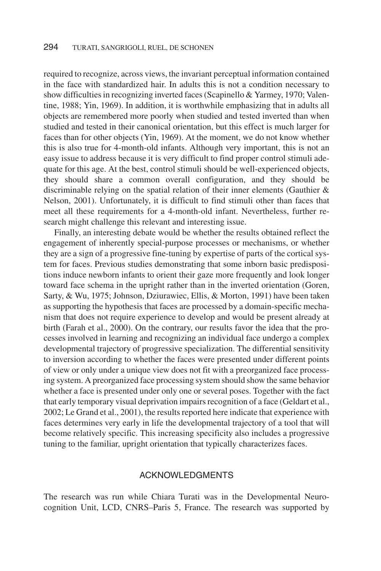required to recognize, across views, the invariant perceptual information contained in the face with standardized hair. In adults this is not a condition necessary to show difficulties in recognizing inverted faces (Scapinello & Yarmey, 1970; Valentine, 1988; Yin, 1969). In addition, it is worthwhile emphasizing that in adults all objects are remembered more poorly when studied and tested inverted than when studied and tested in their canonical orientation, but this effect is much larger for faces than for other objects (Yin, 1969). At the moment, we do not know whether this is also true for 4-month-old infants. Although very important, this is not an easy issue to address because it is very difficult to find proper control stimuli adequate for this age. At the best, control stimuli should be well-experienced objects, they should share a common overall configuration, and they should be discriminable relying on the spatial relation of their inner elements (Gauthier  $\&$ Nelson, 2001). Unfortunately, it is difficult to find stimuli other than faces that meet all these requirements for a 4-month-old infant. Nevertheless, further research might challenge this relevant and interesting issue.

Finally, an interesting debate would be whether the results obtained reflect the engagement of inherently special-purpose processes or mechanisms, or whether they are a sign of a progressive fine-tuning by expertise of parts of the cortical system for faces. Previous studies demonstrating that some inborn basic predispositions induce newborn infants to orient their gaze more frequently and look longer toward face schema in the upright rather than in the inverted orientation (Goren, Sarty, & Wu, 1975; Johnson, Dziurawiec, Ellis, & Morton, 1991) have been taken as supporting the hypothesis that faces are processed by a domain-specific mechanism that does not require experience to develop and would be present already at birth (Farah et al., 2000). On the contrary, our results favor the idea that the processes involved in learning and recognizing an individual face undergo a complex developmental trajectory of progressive specialization. The differential sensitivity to inversion according to whether the faces were presented under different points of view or only under a unique view does not fit with a preorganized face processing system. A preorganized face processing system should show the same behavior whether a face is presented under only one or several poses. Together with the fact that early temporary visual deprivation impairs recognition of a face (Geldart et al., 2002; Le Grand et al., 2001), the results reported here indicate that experience with faces determines very early in life the developmental trajectory of a tool that will become relatively specific. This increasing specificity also includes a progressive tuning to the familiar, upright orientation that typically characterizes faces.

# ACKNOWLEDGMENTS

The research was run while Chiara Turati was in the Developmental Neurocognition Unit, LCD, CNRS–Paris 5, France. The research was supported by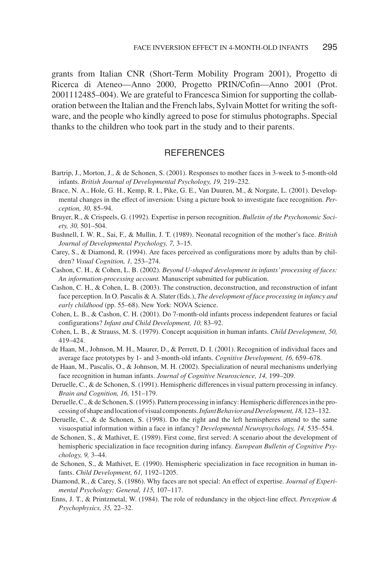grants from Italian CNR (Short-Term Mobility Program 2001), Progetto di Ricerca di Ateneo—Anno 2000, Progetto PRIN/Cofin—Anno 2001 (Prot. 2001112485–004). We are grateful to Francesca Simion for supporting the collaboration between the Italian and the French labs, Sylvain Mottet for writing the software, and the people who kindly agreed to pose for stimulus photographs. Special thanks to the children who took part in the study and to their parents.

# **REFERENCES**

- Bartrip, J., Morton, J., & de Schonen, S. (2001). Responses to mother faces in 3-week to 5-month-old infants. *British Journal of Developmental Psychology, 19,* 219–232.
- Brace, N. A., Hole, G. H., Kemp, R. I., Pike, G. E., Van Duuren, M., & Norgate, L. (2001). Developmental changes in the effect of inversion: Using a picture book to investigate face recognition. *Perception, 30,* 85–94.
- Bruyer, R., & Crispeels, G. (1992). Expertise in person recognition. *Bulletin of the Psychonomic Society, 30,* 501–504.
- Bushnell, I. W. R., Sai, F., & Mullin, J. T. (1989). Neonatal recognition of the mother's face. *British Journal of Developmental Psychology, 7,* 3–15.
- Carey, S., & Diamond, R. (1994). Are faces perceived as configurations more by adults than by children? *Visual Cognition, 1,* 253–274.
- Cashon, C. H., & Cohen, L. B. (2002). *Beyond U-shaped development in infants' processing of faces: An information-processing account.* Manuscript submitted for publication.
- Cashon, C. H., & Cohen, L. B. (2003). The construction, deconstruction, and reconstruction of infant face perception. In O. Pascalis & A. Slater (Eds.), *The development of face processing in infancy and early childhood* (pp. 55–68). New York: NOVA Science.
- Cohen, L. B., & Cashon, C. H. (2001). Do 7-month-old infants process independent features or facial configurations? *Infant and Child Development, 10,* 83–92.
- Cohen, L. B., & Strauss, M. S. (1979). Concept acquisition in human infants. *Child Development, 50,* 419–424.
- de Haan, M., Johnson, M. H., Maurer, D., & Perrett, D. I. (2001). Recognition of individual faces and average face prototypes by 1- and 3-month-old infants. *Cognitive Development, 16,* 659–678.
- de Haan, M., Pascalis, O., & Johnson, M. H. (2002). Specialization of neural mechanisms underlying face recognition in human infants. *Journal of Cognitive Neuroscience, 14,* 199–209.
- Deruelle, C., & de Schonen, S. (1991). Hemispheric differences in visual pattern processing in infancy. *Brain and Cognition, 16,* 151–179.
- Deruelle, C., & de Schonen, S. (1995). Pattern processing in infancy: Hemispheric differences in the processingofshapeandlocationofvisualcomponents.*InfantBehaviorandDevelopment,18,*123–132.
- Deruelle, C., & de Schonen, S. (1998). Do the right and the left hemispheres attend to the same visuospatial information within a face in infancy? *Developmental Neuropsychology, 14,* 535–554.
- de Schonen, S., & Mathivet, E. (1989). First come, first served: A scenario about the development of hemispheric specialization in face recognition during infancy. *European Bulletin of Cognitive Psychology, 9,* 3–44.
- de Schonen, S., & Mathivet, E. (1990). Hemispheric specialization in face recognition in human infants. *Child Development, 61,* 1192–1205.
- Diamond, R., & Carey, S. (1986). Why faces are not special: An effect of expertise. *Journal of Experimental Psychology: General, 115,* 107–117.
- Enns, J. T., & Printzmetal, W. (1984). The role of redundancy in the object-line effect. *Perception & Psychophysics, 35,* 22–32.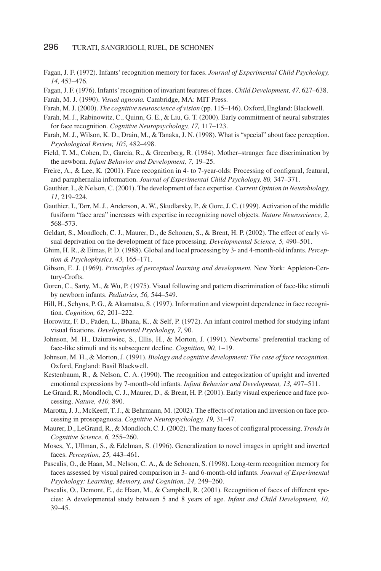- Fagan, J. F. (1972). Infants' recognition memory for faces. *Journal of Experimental Child Psychology, 14,* 453–476.
- Fagan, J. F. (1976). Infants'recognition of invariant features of faces. *Child Development, 47,* 627–638.
- Farah, M. J. (1990). *Visual agnosia.* Cambridge, MA: MIT Press.
- Farah, M. J. (2000). *The cognitive neuroscience of vision* (pp. 115–146). Oxford, England: Blackwell.
- Farah, M. J., Rabinowitz, C., Quinn, G. E., & Liu, G. T. (2000). Early commitment of neural substrates for face recognition. *Cognitive Neuropsychology, 17,* 117–123.
- Farah, M. J., Wilson, K. D., Drain, M., & Tanaka, J. N. (1998). What is "special" about face perception. *Psychological Review, 105,* 482–498.
- Field, T. M., Cohen, D., Garcia, R., & Greenberg, R. (1984). Mother–stranger face discrimination by the newborn. *Infant Behavior and Development, 7,* 19–25.
- Freire, A., & Lee, K. (2001). Face recognition in 4- to 7-year-olds: Processing of configural, featural, and paraphernalia information. *Journal of Experimental Child Psychology, 80,* 347–371.
- Gauthier, I., & Nelson, C. (2001). The development of face expertise. *Current Opinion in Neurobiology, 11,* 219–224.
- Gauthier, I., Tarr, M. J., Anderson, A. W., Skudlarsky, P., & Gore, J. C. (1999). Activation of the middle fusiform "face area" increases with expertise in recognizing novel objects. *Nature Neuroscience, 2,* 568–573.
- Geldart, S., Mondloch, C. J., Maurer, D., de Schonen, S., & Brent, H. P. (2002). The effect of early visual deprivation on the development of face processing. *Developmental Science, 5,* 490–501.
- Ghim, H. R., & Eimas, P. D. (1988). Global and local processing by 3- and 4-month-old infants. *Perception & Psychophysics, 43,* 165–171.
- Gibson, E. J. (1969). *Principles of perceptual learning and development.* New York: Appleton-Century-Crofts.
- Goren, C., Sarty, M., & Wu, P. (1975). Visual following and pattern discrimination of face-like stimuli by newborn infants. *Pediatrics, 56,* 544–549.
- Hill, H., Schyns, P. G., & Akamatsu, S. (1997). Information and viewpoint dependence in face recognition. *Cognition, 62,* 201–222.
- Horowitz, F. D., Paden, L., Bhana, K., & Self, P. (1972). An infant control method for studying infant visual fixations. *Developmental Psychology, 7,* 90.
- Johnson, M. H., Dziurawiec, S., Ellis, H., & Morton, J. (1991). Newborns' preferential tracking of face-like stimuli and its subsequent decline. *Cognition, 90,* 1–19.
- Johnson, M. H., & Morton, J. (1991). *Biology and cognitive development: The case of face recognition.* Oxford, England: Basil Blackwell.
- Kestenbaum, R., & Nelson, C. A. (1990). The recognition and categorization of upright and inverted emotional expressions by 7-month-old infants. *Infant Behavior and Development, 13,* 497–511.
- Le Grand, R., Mondloch, C. J., Maurer, D., & Brent, H. P. (2001). Early visual experience and face processing. *Nature, 410,* 890.
- Marotta, J. J., McKeeff, T. J., & Behrmann, M. (2002). The effects of rotation and inversion on face processing in prosopagnosia. *Cognitive Neuropsychology, 19,* 31–47.
- Maurer, D., LeGrand, R., & Mondloch, C. J. (2002). The many faces of configural processing. *Trends in Cognitive Science, 6,* 255–260.
- Moses, Y., Ullman, S., & Edelman, S. (1996). Generalization to novel images in upright and inverted faces. *Perception, 25,* 443–461.
- Pascalis, O., de Haan, M., Nelson, C. A., & de Schonen, S. (1998). Long-term recognition memory for faces assessed by visual paired comparison in 3- and 6-month-old infants. *Journal of Experimental Psychology: Learning, Memory, and Cognition, 24,* 249–260.
- Pascalis, O., Demont, E., de Haan, M., & Campbell, R. (2001). Recognition of faces of different species: A developmental study between 5 and 8 years of age. *Infant and Child Development, 10,* 39–45.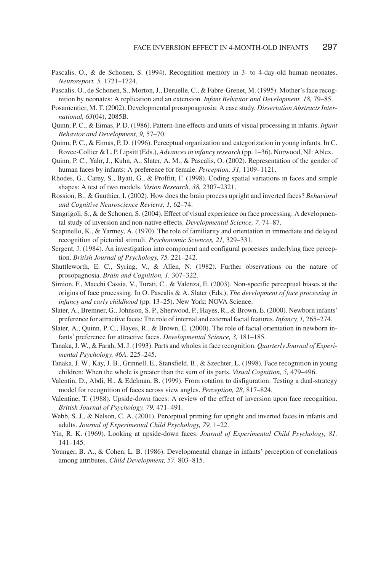- Pascalis, O., & de Schonen, S. (1994). Recognition memory in 3- to 4-day-old human neonates. *Neuroreport, 5,* 1721–1724.
- Pascalis, O., de Schonen, S., Morton, J., Deruelle, C., & Fabre-Grenet, M. (1995). Mother's face recognition by neonates: A replication and an extension. *Infant Behavior and Development, 18,* 79–85.
- Posamentier, M. T. (2002). Developmental prosopoagnosia: A case study. *Dissertation Abstracts International, 63*(04), 2085B.
- Quinn, P. C., & Eimas, P. D. (1986). Pattern-line effects and units of visual processing in infants. *Infant Behavior and Development, 9,* 57–70.
- Quinn, P. C., & Eimas, P. D. (1996). Perceptual organization and categorization in young infants. In C. Rovee-Collier & L. P. Lipsitt (Eds.), *Advances in infancy research* (pp. 1–36). Norwood, NJ: Ablex.
- Quinn, P. C., Yahr, J., Kuhn, A., Slater, A. M., & Pascalis, O. (2002). Representation of the gender of human faces by infants: A preference for female. *Perception, 31,* 1109–1121.
- Rhodes, G., Carey, S., Byatt, G., & Proffitt, F. (1998). Coding spatial variations in faces and simple shapes: A test of two models. *Vision Research, 38,* 2307–2321.
- Rossion, B., & Gauthier, I. (2002). How does the brain process upright and inverted faces? *Behavioral and Cognitive Neuroscience Reviews, 1,* 62–74.
- Sangrigoli, S., & de Schonen, S. (2004). Effect of visual experience on face processing: A developmental study of inversion and non-native effects. *Developmental Science, 7,* 74–87.
- Scapinello, K., & Yarmey, A. (1970). The role of familiarity and orientation in immediate and delayed recognition of pictorial stimuli. *Psychonomic Sciences, 21,* 329–331.
- Sergent, J. (1984). An investigation into component and configural processes underlying face perception. *British Journal of Psychology, 75,* 221–242.
- Shuttleworth, E. C., Syring, V., & Allen, N. (1982). Further observations on the nature of prosopagnosia. *Brain and Cognition, 1,* 307–322.
- Simion, F., Macchi Cassia, V., Turati, C., & Valenza, E. (2003). Non-specific perceptual biases at the origins of face processing. In O. Pascalis & A. Slater (Eds.), *The development of face processing in infancy and early childhood* (pp. 13–25). New York: NOVA Science.
- Slater, A., Bremner, G., Johnson, S. P., Sherwood, P., Hayes, R., & Brown, E. (2000). Newborn infants' preference for attractive faces: The role of internal and external facial features. *Infancy, 1,* 265–274.
- Slater, A., Quinn, P. C., Hayes, R., & Brown, E. (2000). The role of facial orientation in newborn infants' preference for attractive faces. *Developmental Science, 3,* 181–185.
- Tanaka, J. W., & Farah, M. J. (1993). Parts and wholes in face recognition. *Quarterly Journal of Experimental Psychology, 46A,* 225–245.
- Tanaka, J. W., Kay, J. B., Grinnell, E., Stansfield, B., & Szechter, L. (1998). Face recognition in young children: When the whole is greater than the sum of its parts. *Visual Cognition, 5,* 479–496.
- Valentin, D., Abdi, H., & Edelman, B. (1999). From rotation to disfiguration: Testing a dual-strategy model for recognition of faces across view angles. *Perception, 28,* 817–824.
- Valentine, T. (1988). Upside-down faces: A review of the effect of inversion upon face recognition. *British Journal of Psychology, 79,* 471–491.
- Webb, S. J., & Nelson, C. A. (2001). Perceptual priming for upright and inverted faces in infants and adults. *Journal of Experimental Child Psychology, 79,* 1–22.
- Yin, R. K. (1969). Looking at upside-down faces. *Journal of Experimental Child Psychology, 81,* 141–145.
- Younger, B. A., & Cohen, L. B. (1986). Developmental change in infants' perception of correlations among attributes. *Child Development, 57,* 803–815.